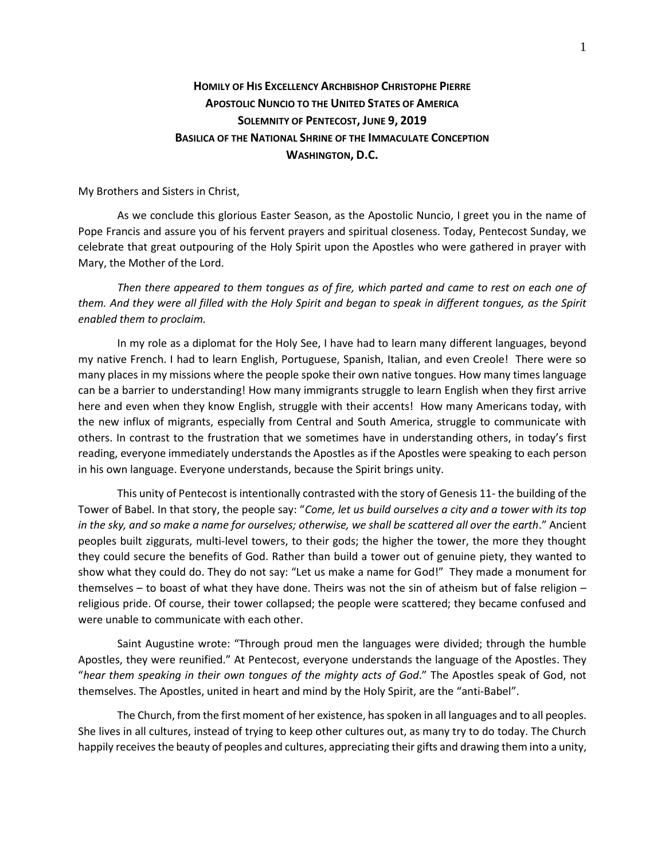## **HOMILY OF HIS EXCELLENCY ARCHBISHOP CHRISTOPHE PIERRE APOSTOLIC NUNCIO TO THE UNITED STATES OF AMERICA SOLEMNITY OF PENTECOST, JUNE 9, 2019 BASILICA OF THE NATIONAL SHRINE OF THE IMMACULATE CONCEPTION WASHINGTON, D.C.**

My Brothers and Sisters in Christ,

As we conclude this glorious Easter Season, as the Apostolic Nuncio, I greet you in the name of Pope Francis and assure you of his fervent prayers and spiritual closeness. Today, Pentecost Sunday, we celebrate that great outpouring of the Holy Spirit upon the Apostles who were gathered in prayer with Mary, the Mother of the Lord.

*Then there appeared to them tongues as of fire, which parted and came to rest on each one of them. And they were all filled with the Holy Spirit and began to speak in different tongues, as the Spirit enabled them to proclaim.*

In my role as a diplomat for the Holy See, I have had to learn many different languages, beyond my native French. I had to learn English, Portuguese, Spanish, Italian, and even Creole! There were so many places in my missions where the people spoke their own native tongues. How many times language can be a barrier to understanding! How many immigrants struggle to learn English when they first arrive here and even when they know English, struggle with their accents! How many Americans today, with the new influx of migrants, especially from Central and South America, struggle to communicate with others. In contrast to the frustration that we sometimes have in understanding others, in today's first reading, everyone immediately understands the Apostles as if the Apostles were speaking to each person in his own language. Everyone understands, because the Spirit brings unity.

This unity of Pentecost is intentionally contrasted with the story of Genesis 11- the building of the Tower of Babel. In that story, the people say: "*Come, let us build ourselves a city and a tower with its top*  in the sky, and so make a name for ourselves; otherwise, we shall be scattered all over the earth." Ancient peoples built ziggurats, multi-level towers, to their gods; the higher the tower, the more they thought they could secure the benefits of God. Rather than build a tower out of genuine piety, they wanted to show what they could do. They do not say: "Let us make a name for God!" They made a monument for themselves – to boast of what they have done. Theirs was not the sin of atheism but of false religion – religious pride. Of course, their tower collapsed; the people were scattered; they became confused and were unable to communicate with each other.

Saint Augustine wrote: "Through proud men the languages were divided; through the humble Apostles, they were reunified." At Pentecost, everyone understands the language of the Apostles. They "*hear them speaking in their own tongues of the mighty acts of God*." The Apostles speak of God, not themselves. The Apostles, united in heart and mind by the Holy Spirit, are the "anti-Babel".

The Church, from the first moment of her existence, has spoken in all languages and to all peoples. She lives in all cultures, instead of trying to keep other cultures out, as many try to do today. The Church happily receives the beauty of peoples and cultures, appreciating their gifts and drawing them into a unity,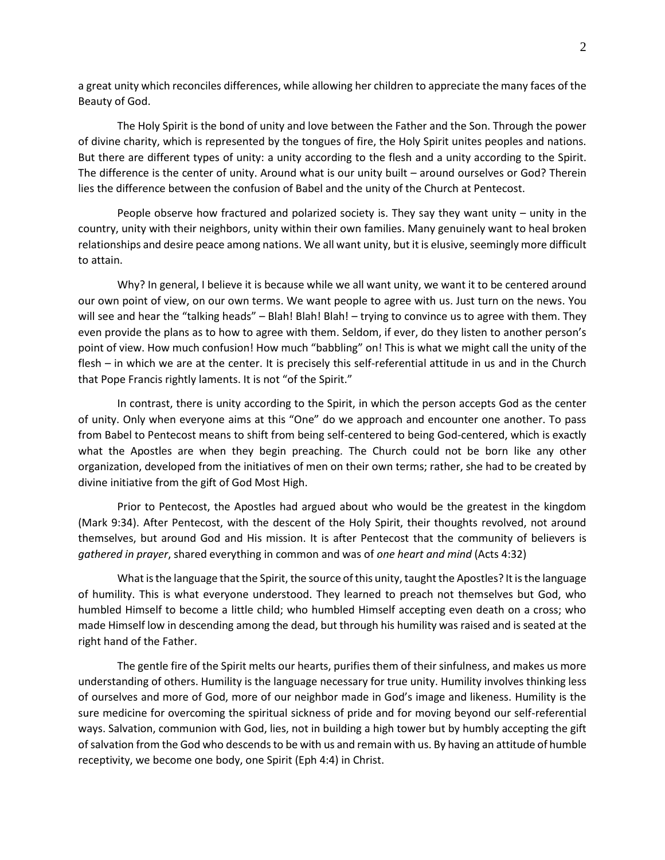a great unity which reconciles differences, while allowing her children to appreciate the many faces of the Beauty of God.

The Holy Spirit is the bond of unity and love between the Father and the Son. Through the power of divine charity, which is represented by the tongues of fire, the Holy Spirit unites peoples and nations. But there are different types of unity: a unity according to the flesh and a unity according to the Spirit. The difference is the center of unity. Around what is our unity built – around ourselves or God? Therein lies the difference between the confusion of Babel and the unity of the Church at Pentecost.

People observe how fractured and polarized society is. They say they want unity – unity in the country, unity with their neighbors, unity within their own families. Many genuinely want to heal broken relationships and desire peace among nations. We all want unity, but it is elusive, seemingly more difficult to attain.

Why? In general, I believe it is because while we all want unity, we want it to be centered around our own point of view, on our own terms. We want people to agree with us. Just turn on the news. You will see and hear the "talking heads" – Blah! Blah! Blah! – trying to convince us to agree with them. They even provide the plans as to how to agree with them. Seldom, if ever, do they listen to another person's point of view. How much confusion! How much "babbling" on! This is what we might call the unity of the flesh – in which we are at the center. It is precisely this self-referential attitude in us and in the Church that Pope Francis rightly laments. It is not "of the Spirit."

In contrast, there is unity according to the Spirit, in which the person accepts God as the center of unity. Only when everyone aims at this "One" do we approach and encounter one another. To pass from Babel to Pentecost means to shift from being self-centered to being God-centered, which is exactly what the Apostles are when they begin preaching. The Church could not be born like any other organization, developed from the initiatives of men on their own terms; rather, she had to be created by divine initiative from the gift of God Most High.

Prior to Pentecost, the Apostles had argued about who would be the greatest in the kingdom (Mark 9:34). After Pentecost, with the descent of the Holy Spirit, their thoughts revolved, not around themselves, but around God and His mission. It is after Pentecost that the community of believers is *gathered in prayer*, shared everything in common and was of *one heart and mind* (Acts 4:32)

What is the language that the Spirit, the source of this unity, taught the Apostles? It is the language of humility. This is what everyone understood. They learned to preach not themselves but God, who humbled Himself to become a little child; who humbled Himself accepting even death on a cross; who made Himself low in descending among the dead, but through his humility was raised and is seated at the right hand of the Father.

The gentle fire of the Spirit melts our hearts, purifies them of their sinfulness, and makes us more understanding of others. Humility is the language necessary for true unity. Humility involves thinking less of ourselves and more of God, more of our neighbor made in God's image and likeness. Humility is the sure medicine for overcoming the spiritual sickness of pride and for moving beyond our self-referential ways. Salvation, communion with God, lies, not in building a high tower but by humbly accepting the gift of salvation from the God who descends to be with us and remain with us. By having an attitude of humble receptivity, we become one body, one Spirit (Eph 4:4) in Christ.